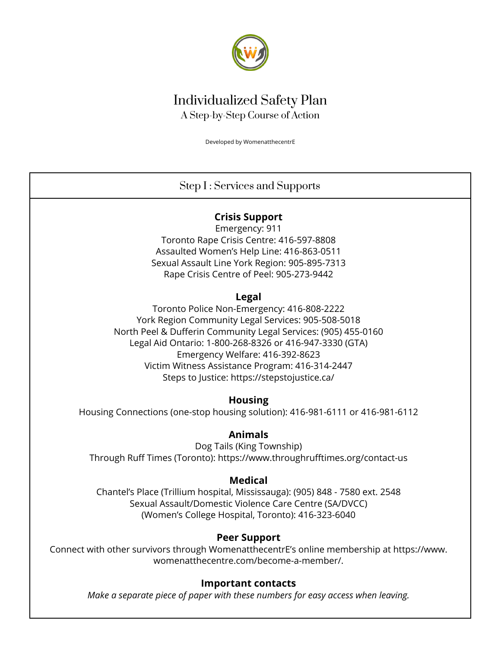

# Individualized Safety Plan A Step-by-Step Course of Action

Developed by WomenatthecentrE

## Step I : Services and Supports

### **Crisis Support**

Emergency: 911 Toronto Rape Crisis Centre: 416-597-8808 Assaulted Women's Help Line: 416-863-0511 Sexual Assault Line York Region: 905-895-7313 Rape Crisis Centre of Peel: 905-273-9442

### **Legal**

Toronto Police Non-Emergency: 416-808-2222 York Region Community Legal Services: 905-508-5018 North Peel & Dufferin Community Legal Services: (905) 455-0160 Legal Aid Ontario: 1-800-268-8326 or 416-947-3330 (GTA) Emergency Welfare: 416-392-8623 Victim Witness Assistance Program: 416-314-2447 Steps to Justice: https://stepstojustice.ca/

### **Housing**

Housing Connections (one-stop housing solution): 416-981-6111 or 416-981-6112

### **Animals**

Dog Tails (King Township) Through Ruff Times (Toronto): https://www.throughrufftimes.org/contact-us

### **Medical**

Chantel's Place (Trillium hospital, Mississauga): (905) 848 - 7580 ext. 2548 Sexual Assault/Domestic Violence Care Centre (SA/DVCC) (Women's College Hospital, Toronto): 416-323-6040

### **Peer Support**

Connect with other survivors through WomenatthecentrE's online membership at https://www. womenatthecentre.com/become-a-member/.

### **Important contacts**

*Make a separate piece of paper with these numbers for easy access when leaving.*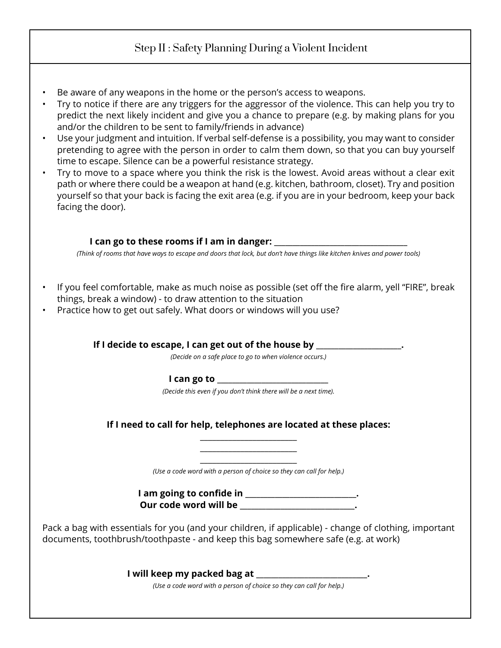## Step II : Safety Planning During a Violent Incident

- Be aware of any weapons in the home or the person's access to weapons.
- Try to notice if there are any triggers for the aggressor of the violence. This can help you try to predict the next likely incident and give you a chance to prepare (e.g. by making plans for you and/or the children to be sent to family/friends in advance)
- Use your judgment and intuition. If verbal self-defense is a possibility, you may want to consider pretending to agree with the person in order to calm them down, so that you can buy yourself time to escape. Silence can be a powerful resistance strategy.
- Try to move to a space where you think the risk is the lowest. Avoid areas without a clear exit path or where there could be a weapon at hand (e.g. kitchen, bathroom, closet). Try and position yourself so that your back is facing the exit area (e.g. if you are in your bedroom, keep your back facing the door).

#### **I can go to these rooms if I am in danger: \_\_\_**

*(Think of rooms that have ways to escape and doors that lock, but don't have things like kitchen knives and power tools)*

- If you feel comfortable, make as much noise as possible (set off the fire alarm, yell "FIRE", break things, break a window) - to draw attention to the situation
- Practice how to get out safely. What doors or windows will you use?

**If I decide to escape, I can get out of the house by \_\_\_\_\_\_\_\_\_\_\_\_\_\_\_\_\_\_\_\_\_\_\_.** *(Decide on a safe place to go to when violence occurs.)* **I** can go to *(Decide this even if you don't think there will be a next time).*  **If I need to call for help, telephones are located at these places:**  \_\_\_\_\_\_\_\_\_\_\_\_\_\_\_\_\_\_\_\_\_\_\_\_  $\_$  $\_$ *(Use a code word with a person of choice so they can call for help.)* **I am going to confide in \_\_\_\_\_\_\_\_\_\_\_\_\_\_\_\_\_\_\_\_\_\_\_\_\_\_\_\_\_\_. Our code word will be \_\_\_\_\_\_\_\_\_\_\_\_\_\_\_\_\_\_\_\_\_\_\_\_\_\_\_\_\_\_\_.** Pack a bag with essentials for you (and your children, if applicable) - change of clothing, important documents, toothbrush/toothpaste - and keep this bag somewhere safe (e.g. at work) **I will keep my packed bag at \_\_\_\_\_\_\_\_\_\_\_\_\_\_\_\_\_\_\_\_\_\_\_\_\_\_\_\_\_\_.** *(Use a code word with a person of choice so they can call for help.)*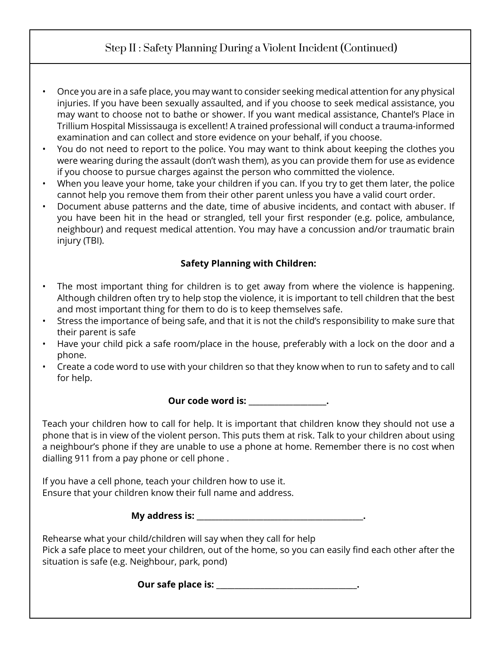## Step II : Safety Planning During a Violent Incident (Continued)

- Once you are in a safe place, you may want to consider seeking medical attention for any physical injuries. If you have been sexually assaulted, and if you choose to seek medical assistance, you may want to choose not to bathe or shower. If you want medical assistance, Chantel's Place in Trillium Hospital Mississauga is excellent! A trained professional will conduct a trauma-informed examination and can collect and store evidence on your behalf, if you choose.
- You do not need to report to the police. You may want to think about keeping the clothes you were wearing during the assault (don't wash them), as you can provide them for use as evidence if you choose to pursue charges against the person who committed the violence.
- When you leave your home, take your children if you can. If you try to get them later, the police cannot help you remove them from their other parent unless you have a valid court order.
- Document abuse patterns and the date, time of abusive incidents, and contact with abuser. If you have been hit in the head or strangled, tell your first responder (e.g. police, ambulance, neighbour) and request medical attention. You may have a concussion and/or traumatic brain injury (TBI).

### **Safety Planning with Children:**

- The most important thing for children is to get away from where the violence is happening. Although children often try to help stop the violence, it is important to tell children that the best and most important thing for them to do is to keep themselves safe.
- Stress the importance of being safe, and that it is not the child's responsibility to make sure that their parent is safe
- Have your child pick a safe room/place in the house, preferably with a lock on the door and a phone.
- Create a code word to use with your children so that they know when to run to safety and to call for help.

**Our code word is: \_\_\_\_\_\_\_\_\_\_\_\_\_\_\_\_\_\_\_\_\_.**

Teach your children how to call for help. It is important that children know they should not use a phone that is in view of the violent person. This puts them at risk. Talk to your children about using a neighbour's phone if they are unable to use a phone at home. Remember there is no cost when dialling 911 from a pay phone or cell phone .

If you have a cell phone, teach your children how to use it. Ensure that your children know their full name and address.

**My address is: \_\_\_\_\_\_\_\_\_\_\_\_\_\_\_\_\_\_\_\_\_\_\_\_\_\_\_\_\_\_\_\_\_\_\_\_\_\_\_\_\_\_\_\_\_.**

Rehearse what your child/children will say when they call for help Pick a safe place to meet your children, out of the home, so you can easily find each other after the situation is safe (e.g. Neighbour, park, pond)

**Our safe place is: \_\_\_\_\_\_\_\_\_\_\_\_\_\_\_\_\_\_\_\_\_\_\_\_\_\_\_\_\_\_\_\_\_\_\_\_\_\_.**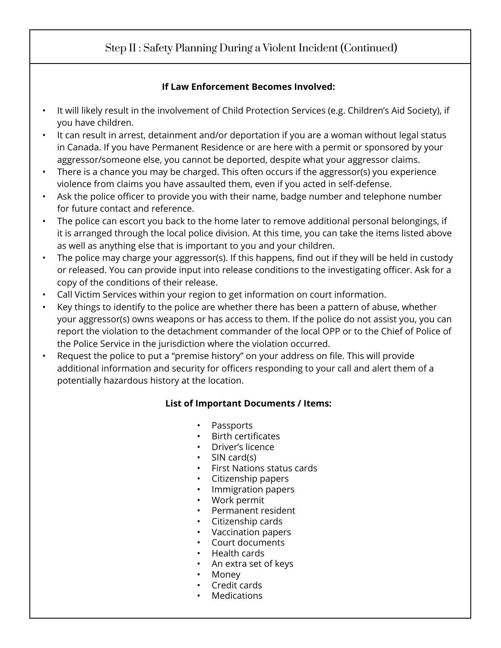# Step II : Safety Planning During a Violent Incident (Continued)

### **If Law Enforcement Becomes Involved:**

- It will likely result in the involvement of Child Protection Services (e.g. Children's Aid Society), if you have children.
- It can result in arrest, detainment and/or deportation if you are a woman without legal status in Canada. If you have Permanent Residence or are here with a permit or sponsored by your aggressor/someone else, you cannot be deported, despite what your aggressor claims.
- There is a chance you may be charged. This often occurs if the aggressor(s) you experience violence from claims you have assaulted them, even if you acted in self-defense.
- Ask the police officer to provide you with their name, badge number and telephone number for future contact and reference.
- The police can escort you back to the home later to remove additional personal belongings, if it is arranged through the local police division. At this time, you can take the items listed above as well as anything else that is important to you and your children.
- The police may charge your aggressor(s). If this happens, find out if they will be held in custody or released. You can provide input into release conditions to the investigating officer. Ask for a copy of the conditions of their release.
- Call Victim Services within your region to get information on court information.
- Key things to identify to the police are whether there has been a pattern of abuse, whether your aggressor(s) owns weapons or has access to them. If the police do not assist you, you can report the violation to the detachment commander of the local OPP or to the Chief of Police of the Police Service in the jurisdiction where the violation occurred.
- Request the police to put a "premise history" on your address on file. This will provide additional information and security for officers responding to your call and alert them of a potentially hazardous history at the location.

### **List of Important Documents / Items:**

- Passports
- Birth certificates
- Driver's licence
- SIN card(s)
- First Nations status cards
- Citizenship papers
- Immigration papers
- Work permit
- Permanent resident
- Citizenship cards
- Vaccination papers
- Court documents
- Health cards
- An extra set of keys
- Money
- Credit cards
- Medications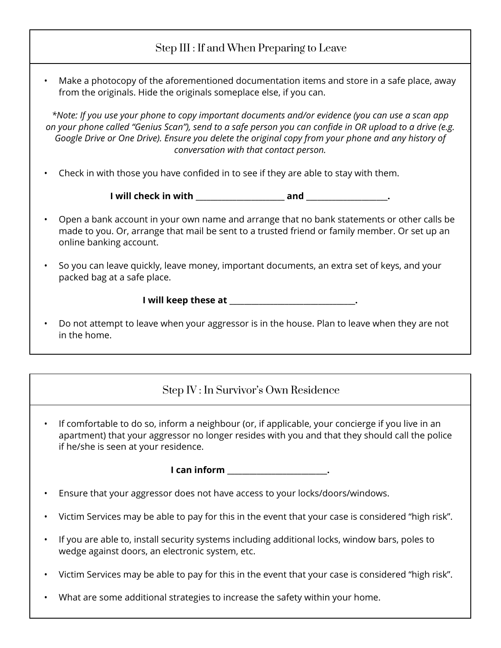## Step III : If and When Preparing to Leave

• Make a photocopy of the aforementioned documentation items and store in a safe place, away from the originals. Hide the originals someplace else, if you can.

*\*Note: If you use your phone to copy important documents and/or evidence (you can use a scan app on your phone called "Genius Scan"), send to a safe person you can confide in OR upload to a drive (e.g. Google Drive or One Drive). Ensure you delete the original copy from your phone and any history of conversation with that contact person.* 

• Check in with those you have confided in to see if they are able to stay with them.

**I** will check in with the contract and the contract of  $\mathbf{a}$  and  $\mathbf{a}$ .

- Open a bank account in your own name and arrange that no bank statements or other calls be made to you. Or, arrange that mail be sent to a trusted friend or family member. Or set up an online banking account.
- So you can leave quickly, leave money, important documents, an extra set of keys, and your packed bag at a safe place.

**I will keep these at \_\_\_\_\_\_\_\_\_\_\_\_\_\_\_\_\_\_\_\_\_\_\_\_\_\_\_\_\_\_\_\_\_\_.**

• Do not attempt to leave when your aggressor is in the house. Plan to leave when they are not in the home.

## Step IV : In Survivor's Own Residence

• If comfortable to do so, inform a neighbour (or, if applicable, your concierge if you live in an apartment) that your aggressor no longer resides with you and that they should call the police if he/she is seen at your residence.

**I can inform \_\_\_\_\_\_\_\_\_\_\_\_\_\_\_\_\_\_\_\_\_\_\_\_\_\_\_.** 

- Ensure that your aggressor does not have access to your locks/doors/windows.
- Victim Services may be able to pay for this in the event that your case is considered "high risk".
- If you are able to, install security systems including additional locks, window bars, poles to wedge against doors, an electronic system, etc.
- Victim Services may be able to pay for this in the event that your case is considered "high risk".
- What are some additional strategies to increase the safety within your home.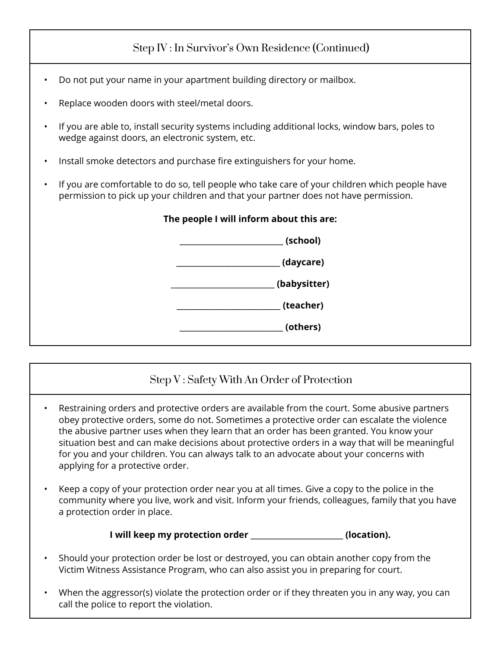# Step IV : In Survivor's Own Residence (Continued)

- Do not put your name in your apartment building directory or mailbox.
- Replace wooden doors with steel/metal doors.
- If you are able to, install security systems including additional locks, window bars, poles to wedge against doors, an electronic system, etc.
- Install smoke detectors and purchase fire extinguishers for your home.
- If you are comfortable to do so, tell people who take care of your children which people have permission to pick up your children and that your partner does not have permission.



# Step V : Safety With An Order of Protection

- Restraining orders and protective orders are available from the court. Some abusive partners obey protective orders, some do not. Sometimes a protective order can escalate the violence the abusive partner uses when they learn that an order has been granted. You know your situation best and can make decisions about protective orders in a way that will be meaningful for you and your children. You can always talk to an advocate about your concerns with applying for a protective order.
- Keep a copy of your protection order near you at all times. Give a copy to the police in the community where you live, work and visit. Inform your friends, colleagues, family that you have a protection order in place.

#### **I will keep my protection order \_\_\_\_\_\_\_\_\_\_\_\_\_\_\_\_\_\_\_\_\_\_\_\_\_ (location).**

- Should your protection order be lost or destroyed, you can obtain another copy from the Victim Witness Assistance Program, who can also assist you in preparing for court.
- When the aggressor(s) violate the protection order or if they threaten you in any way, you can call the police to report the violation.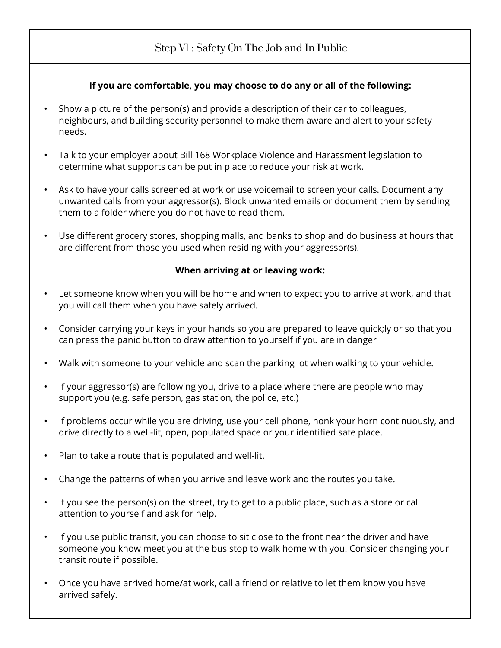# Step V1 : Safety On The Job and In Public

#### **If you are comfortable, you may choose to do any or all of the following:**

- Show a picture of the person(s) and provide a description of their car to colleagues, neighbours, and building security personnel to make them aware and alert to your safety needs.
- Talk to your employer about Bill 168 Workplace Violence and Harassment legislation to determine what supports can be put in place to reduce your risk at work.
- Ask to have your calls screened at work or use voicemail to screen your calls. Document any unwanted calls from your aggressor(s). Block unwanted emails or document them by sending them to a folder where you do not have to read them.
- Use different grocery stores, shopping malls, and banks to shop and do business at hours that are different from those you used when residing with your aggressor(s).

#### **When arriving at or leaving work:**

- Let someone know when you will be home and when to expect you to arrive at work, and that you will call them when you have safely arrived.
- Consider carrying your keys in your hands so you are prepared to leave quick;ly or so that you can press the panic button to draw attention to yourself if you are in danger
- Walk with someone to your vehicle and scan the parking lot when walking to your vehicle.
- If your aggressor(s) are following you, drive to a place where there are people who may support you (e.g. safe person, gas station, the police, etc.)
- If problems occur while you are driving, use your cell phone, honk your horn continuously, and drive directly to a well-lit, open, populated space or your identified safe place.
- Plan to take a route that is populated and well-lit.
- Change the patterns of when you arrive and leave work and the routes you take.
- If you see the person(s) on the street, try to get to a public place, such as a store or call attention to yourself and ask for help.
- If you use public transit, you can choose to sit close to the front near the driver and have someone you know meet you at the bus stop to walk home with you. Consider changing your transit route if possible.
- Once you have arrived home/at work, call a friend or relative to let them know you have arrived safely.